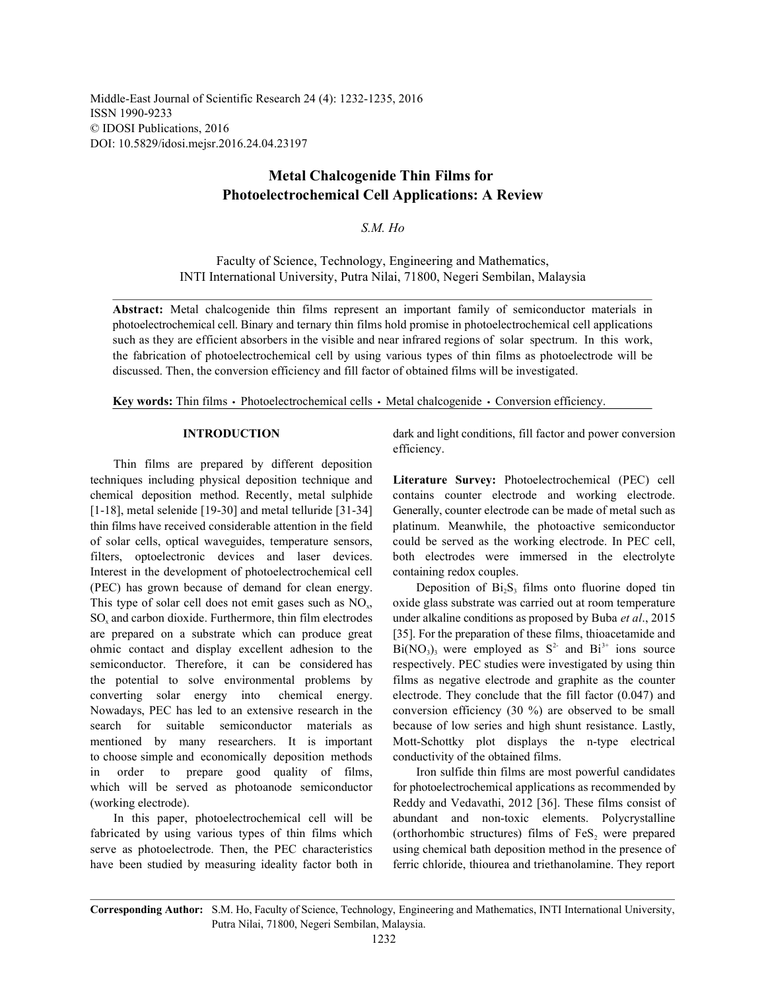Middle-East Journal of Scientific Research 24 (4): 1232-1235, 2016 ISSN 1990-9233 © IDOSI Publications, 2016 DOI: 10.5829/idosi.mejsr.2016.24.04.23197

## **Metal Chalcogenide Thin Films for Photoelectrochemical Cell Applications: A Review**

*S.M. Ho*

Faculty of Science, Technology, Engineering and Mathematics, INTI International University, Putra Nilai, 71800, Negeri Sembilan, Malaysia

**Abstract:** Metal chalcogenide thin films represent an important family of semiconductor materials in photoelectrochemical cell. Binary and ternary thin films hold promise in photoelectrochemical cell applications such as they are efficient absorbers in the visible and near infrared regions of solar spectrum. In this work, the fabrication of photoelectrochemical cell by using various types of thin films as photoelectrode will be discussed. Then, the conversion efficiency and fill factor of obtained films will be investigated.

Key words: Thin films · Photoelectrochemical cells · Metal chalcogenide · Conversion efficiency.

Thin films are prepared by different deposition techniques including physical deposition technique and **Literature Survey:** Photoelectrochemical (PEC) cell chemical deposition method. Recently, metal sulphide contains counter electrode and working electrode. [1-18], metal selenide [19-30] and metal telluride [31-34] Generally, counter electrode can be made of metal such as thin films have received considerable attention in the field platinum. Meanwhile, the photoactive semiconductor of solar cells, optical waveguides, temperature sensors, could be served as the working electrode. In PEC cell, filters, optoelectronic devices and laser devices. both electrodes were immersed in the electrolyte Interest in the development of photoelectrochemical cell containing redox couples. (PEC) has grown because of demand for clean energy. Deposition of  $Bi<sub>2</sub>S<sub>3</sub>$  films onto fluorine doped tin This type of solar cell does not emit gases such as NO<sub>y</sub>, oxide glass substrate was carried out at room temperature SO, and carbon dioxide. Furthermore, thin film electrodes under alkaline conditions as proposed by Buba *et al.*, 2015 are prepared on a substrate which can produce great [35]. For the preparation of these films, thioacetamide and ohmic contact and display excellent adhesion to the  $Bi(NO<sub>3</sub>)$ <sub>3</sub> were employed as  $S<sup>2</sup>$  and  $Bi<sup>3+</sup>$  ions source semiconductor. Therefore, it can be considered has respectively. PEC studies were investigated by using thin the potential to solve environmental problems by films as negative electrode and graphite as the counter converting solar energy into chemical energy. electrode. They conclude that the fill factor (0.047) and Nowadays, PEC has led to an extensive research in the conversion efficiency (30 %) are observed to be small search for suitable semiconductor materials as because of low series and high shunt resistance. Lastly, mentioned by many researchers. It is important Mott-Schottky plot displays the n-type electrical to choose simple and economically deposition methods conductivity of the obtained films. in order to prepare good quality of films, Iron sulfide thin films are most powerful candidates which will be served as photoanode semiconductor for photoelectrochemical applications as recommended by (working electrode). Reddy and Vedavathi, 2012 [36]. These films consist of

fabricated by using various types of thin films which serve as photoelectrode. Then, the PEC characteristics using chemical bath deposition method in the presence of have been studied by measuring ideality factor both in ferric chloride, thiourea and triethanolamine. They report

**INTRODUCTION** dark and light conditions, fill factor and power conversion efficiency.

In this paper, photoelectrochemical cell will be abundant and non-toxic elements. Polycrystalline (orthorhombic structures) films of FeS, were prepared

**Corresponding Author:** S.M. Ho, Faculty of Science, Technology, Engineering and Mathematics, INTI International University, Putra Nilai, 71800, Negeri Sembilan, Malaysia.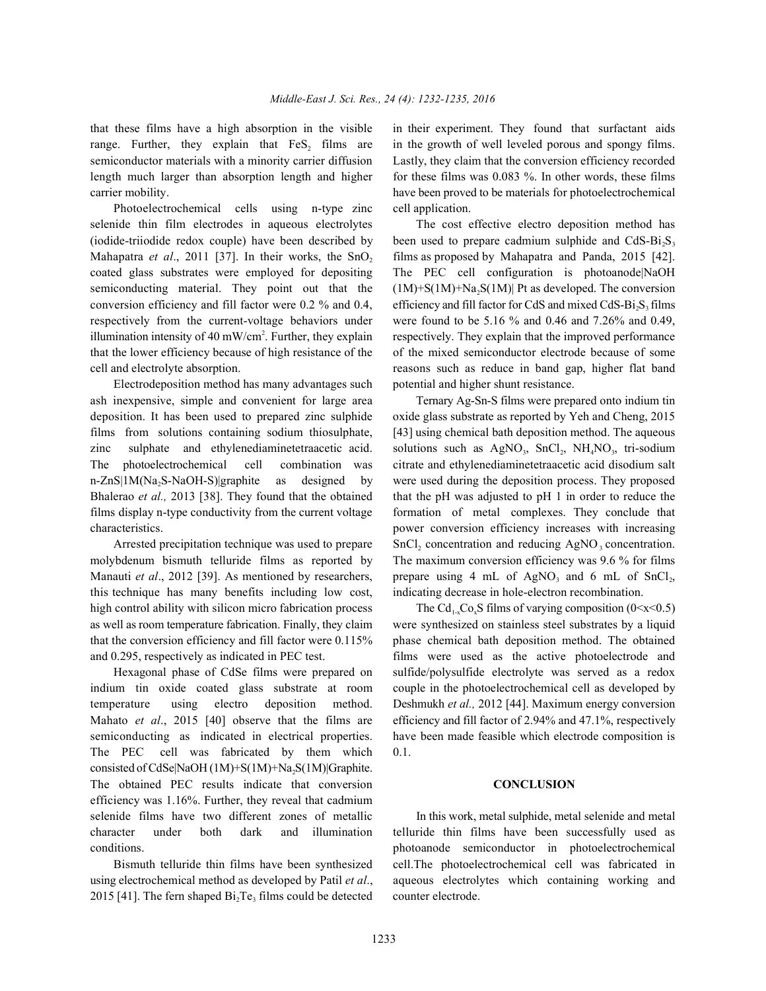that these films have a high absorption in the visible in their experiment. They found that surfactant aids range. Further, they explain that  $FeS<sub>2</sub>$  films are in the growth of well leveled porous and spongy films. semiconductor materials with a minority carrier diffusion Lastly, they claim that the conversion efficiency recorded length much larger than absorption length and higher for these films was 0.083 %. In other words, these films carrier mobility. have been proved to be materials for photoelectrochemical

Photoelectrochemical cells using n-type zinc cell application. selenide thin film electrodes in aqueous electrolytes The cost effective electro deposition method has (iodide-triiodide redox couple) have been described by Mahapatra *et al.*, 2011 [37]. In their works, the SnO, films as proposed by Mahapatra and Panda, 2015 [42]. coated glass substrates were employed for depositing The PEC cell configuration is photoanode|NaOH semiconducting material. They point out that the  $(1M)+S(1M)+Na_2S(1M)$  Pt as developed. The conversion conversion efficiency and fill factor were 0.2 % and 0.4, efficiency and fill factor for CdS and mixed CdS-Bi<sub>2</sub>S<sub>3</sub> films respectively from the current-voltage behaviors under were found to be 5.16 % and 0.46 and 7.26% and 0.49, illumination intensity of 40 mW/cm<sup>2</sup>. Further, they explain respectively. They explain that the improved performance that the lower efficiency because of high resistance of the of the mixed semiconductor electrode because of some cell and electrolyte absorption. reasons such as reduce in band gap, higher flat band

Electrodeposition method has many advantages such potential and higher shunt resistance. ash inexpensive, simple and convenient for large area Ternary Ag-Sn-S films were prepared onto indium tin deposition. It has been used to prepared zinc sulphide oxide glass substrate as reported by Yeh and Cheng, 2015 films from solutions containing sodium thiosulphate, [43] using chemical bath deposition method. The aqueous zinc sulphate and ethylenediaminetetraacetic acid. solutions such as  $AgNO<sub>3</sub>$ ,  $SnCl<sub>2</sub>$ ,  $NH<sub>4</sub>NO<sub>3</sub>$ , tri-sodium The photoelectrochemical cell combination was citrate and ethylenediaminetetraacetic acid disodium salt n-ZnS|1M(Na<sub>2</sub>S-NaOH-S)|graphite as designed by were used during the deposition process. They proposed Bhalerao *et al.*, 2013 [38]. They found that the obtained that the pH was adjusted to pH 1 in order to reduce the films display n-type conductivity from the current voltage formation of metal complexes. They conclude that characteristics. power conversion efficiency increases with increasing

molybdenum bismuth telluride films as reported by The maximum conversion efficiency was 9.6 % for films Manauti *et al.*, 2012 [39]. As mentioned by researchers, prepare using 4 mL of AgNO<sub>3</sub> and 6 mL of SnCl<sub>2</sub>, this technique has many benefits including low cost, indicating decrease in hole-electron recombination. high control ability with silicon micro fabrication process The  $Cd_{1x}Co_xS$  films of varying composition (0<x<0.5) as well as room temperature fabrication. Finally, they claim were synthesized on stainless steel substrates by a liquid that the conversion efficiency and fill factor were 0.115% phase chemical bath deposition method. The obtained and 0.295, respectively as indicated in PEC test. films were used as the active photoelectrode and

indium tin oxide coated glass substrate at room couple in the photoelectrochemical cell as developed by temperature using electro deposition method. Deshmukh *et al.,* 2012 [44]. Maximum energy conversion Mahato *et al.*, 2015 [40] observe that the films are efficiency and fill factor of 2.94% and 47.1%, respectively semiconducting as indicated in electrical properties. have been made feasible which electrode composition is The PEC cell was fabricated by them which 0.1. consisted of CdSe|NaOH  $(1M)+S(1M)+Na<sub>2</sub>S(1M)$ |Graphite. The obtained PEC results indicate that conversion **CONCLUSION** efficiency was 1.16%. Further, they reveal that cadmium selenide films have two different zones of metallic In this work, metal sulphide, metal selenide and metal character under both dark and illumination telluride thin films have been successfully used as conditions. photoanode semiconductor in photoelectrochemical

using electrochemical method as developed by Patil *et al*., aqueous electrolytes which containing working and 2015 [41]. The fern shaped  $Bi<sub>2</sub>Te<sub>3</sub>$  films could be detected counter electrode.

been used to prepare cadmium sulphide and  $CdS-Bi<sub>2</sub>S<sub>3</sub>$ 

Arrested precipitation technique was used to prepare  $SnCl_2$  concentration and reducing AgNO<sub>3</sub> concentration.

Hexagonal phase of CdSe films were prepared on sulfide/polysulfide electrolyte was served as a redox

Bismuth telluride thin films have been synthesized cell.The photoelectrochemical cell was fabricated in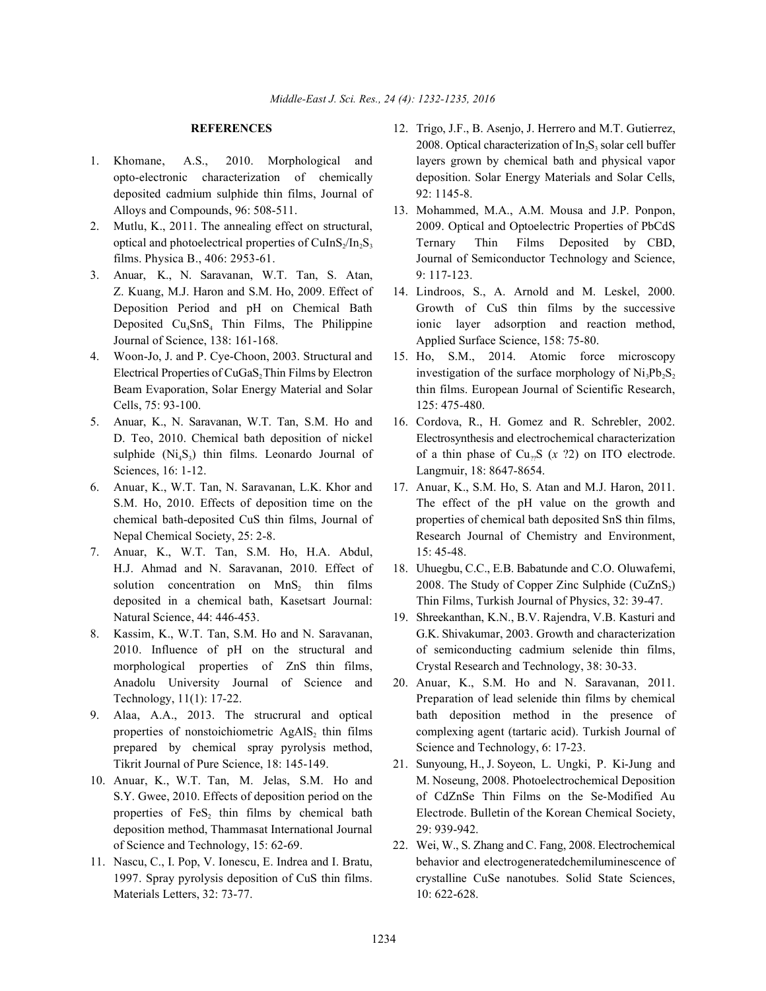- deposited cadmium sulphide thin films, Journal of 92: 1145-8. Alloys and Compounds, 96: 508-511. 13. Mohammed, M.A., A.M. Mousa and J.P. Ponpon,
- 
- 3. Anuar, K., N. Saravanan, W.T. Tan, S. Atan, 9: 117-123. Z. Kuang, M.J. Haron and S.M. Ho, 2009. Effect of 14. Lindroos, S., A. Arnold and M. Leskel, 2000. Journal of Science, 138: 161-168. Applied Surface Science, 158: 75-80.
- 4. Woon-Jo, J. and P. Cye-Choon, 2003. Structural and 15. Ho, S.M., 2014. Atomic force microscopy Electrical Properties of CuGaS, Thin Films by Electron Cells, 75: 93-100. 125: 475-480.
- 5. Anuar, K., N. Saravanan, W.T. Tan, S.M. Ho and 16. Cordova, R., H. Gomez and R. Schrebler, 2002. Sciences, 16: 1-12. Langmuir, 18: 8647-8654.
- 6. Anuar, K., W.T. Tan, N. Saravanan, L.K. Khor and 17. Anuar, K., S.M. Ho, S. Atan and M.J. Haron, 2011.
- 7. Anuar, K., W.T. Tan, S.M. Ho, H.A. Abdul, 15: 45-48. solution concentration on MnS<sub>2</sub> thin films Natural Science, 44: 446-453. 19. Shreekanthan, K.N., B.V. Rajendra, V.B. Kasturi and
- morphological properties of ZnS thin films, Crystal Research and Technology, 38: 30-33. Anadolu University Journal of Science and 20. Anuar, K., S.M. Ho and N. Saravanan, 2011.
- prepared by chemical spray pyrolysis method, Science and Technology, 6: 17-23. Tikrit Journal of Pure Science, 18: 145-149. 21. Sunyoung, H., J. Soyeon, L. Ungki, P. Ki-Jung and
- deposition method, Thammasat International Journal 29: 939-942.
- Materials Letters, 32: 73-77. 10: 622-628.
- **REFERENCES** 12. Trigo, J.F., B. Asenjo, J. Herrero and M.T. Gutierrez, 1. Khomane, A.S., 2010. Morphological and layers grown by chemical bath and physical vapor opto-electronic characterization of chemically deposition. Solar Energy Materials and Solar Cells, 2008. Optical characterization of  $In_2S_3$  solar cell buffer
- 2. Mutlu, K., 2011. The annealing effect on structural, 2009. Optical and Optoelectric Properties of PbCdS optical and photoelectrical properties of CuInS<sub>2</sub>/In<sub>2</sub>S<sub>3</sub> Ternary Thin Films Deposited by CBD, films. Physica B., 406: 2953-61. Journal of Semiconductor Technology and Science,
	- Deposition Period and pH on Chemical Bath Growth of CuS thin films by the successive Deposited  $Cu<sub>4</sub>SnS<sub>4</sub>$  Thin Films, The Philippine ionic layer adsorption and reaction method,
	- Beam Evaporation, Solar Energy Material and Solar thin films. European Journal of Scientific Research, investigation of the surface morphology of  $Ni<sub>3</sub>Pb<sub>2</sub>S<sub>2</sub>$
	- D. Teo, 2010. Chemical bath deposition of nickel Electrosynthesis and electrochemical characterization sulphide  $(N_i S_3)$  thin films. Leonardo Journal of of a thin phase of  $Cu_{\gamma}S(x$  ?2) on ITO electrode.
	- S.M. Ho, 2010. Effects of deposition time on the The effect of the pH value on the growth and chemical bath-deposited CuS thin films, Journal of properties of chemical bath deposited SnS thin films, Nepal Chemical Society, 25: 2-8. Research Journal of Chemistry and Environment,
	- H.J. Ahmad and N. Saravanan, 2010. Effect of 18. Uhuegbu, C.C., E.B. Babatunde and C.O. Oluwafemi, deposited in a chemical bath, Kasetsart Journal: Thin Films, Turkish Journal of Physics, 32: 39-47. 2008. The Study of Copper Zinc Sulphide (CuZnS<sub>2</sub>)
- 8. Kassim, K., W.T. Tan, S.M. Ho and N. Saravanan, G.K. Shivakumar, 2003. Growth and characterization 2010. Influence of pH on the structural and of semiconducting cadmium selenide thin films,
- Technology, 11(1): 17-22. Preparation of lead selenide thin films by chemical 9. Alaa, A.A., 2013. The strucrural and optical bath deposition method in the presence of properties of nonstoichiometric AgAlS, thin films complexing agent (tartaric acid). Turkish Journal of
- 10. Anuar, K., W.T. Tan, M. Jelas, S.M. Ho and M. Noseung, 2008. Photoelectrochemical Deposition S.Y. Gwee, 2010. Effects of deposition period on the of CdZnSe Thin Films on the Se-Modified Au properties of FeS, thin films by chemical bath Electrode. Bulletin of the Korean Chemical Society,
- of Science and Technology, 15: 62-69. 22. Wei, W., S. Zhang and C. Fang, 2008. Electrochemical 11. Nascu, C., I. Pop, V. Ionescu, E. Indrea and I. Bratu, behavior and electrogeneratedchemiluminescence of 1997. Spray pyrolysis deposition of CuS thin films. crystalline CuSe nanotubes. Solid State Sciences,